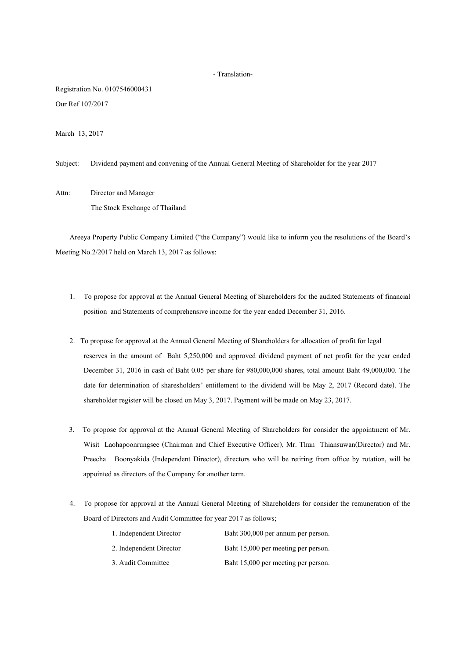## - Translation-

Registration No. 0107546000431 Our Ref 107/2017

March 13, 2017

Subject: Dividend payment and convening of the Annual General Meeting of Shareholder for the year 2017

Attn: Director and Manager The Stock Exchange of Thailand

Areeya Property Public Company Limited ("the Company") would like to inform you the resolutions of the Board's Meeting No.2/2017 held on March 13, 2017 as follows:

- 1. To propose for approval at the Annual General Meeting of Shareholders for the audited Statements of financial position and Statements of comprehensive income for the year ended December 31, 2016.
- 2. To propose for approval at the Annual General Meeting of Shareholders for allocation of profit for legal reserves in the amount of Baht 5,250,000 and approved dividend payment of net profit for the year ended December 31, 2016 in cash of Baht 0.05 per share for 980,000,000 shares, total amount Baht 49,000,000. The date for determination of sharesholders' entitlement to the dividend will be May 2, 2017 (Record date). The shareholder register will be closed on May 3, 2017. Payment will be made on May 23, 2017.
- 3. To propose for approval at the Annual General Meeting of Shareholders for consider the appointment of Mr. Wisit Laohapoonrungsee (Chairman and Chief Executive Officer), Mr. Thun Thiansuwan(Director) and Mr. Preecha Boonyakida (Independent Director), directors who will be retiring from office by rotation, will be appointed as directors of the Company for another term.
- 4. To propose for approval at the Annual General Meeting of Shareholders for consider the remuneration of the Board of Directors and Audit Committee for year 2017 as follows;

| 1. Independent Director | Baht 300,000 per annum per person.  |
|-------------------------|-------------------------------------|
| 2. Independent Director | Baht 15,000 per meeting per person. |
| 3. Audit Committee      | Baht 15,000 per meeting per person. |